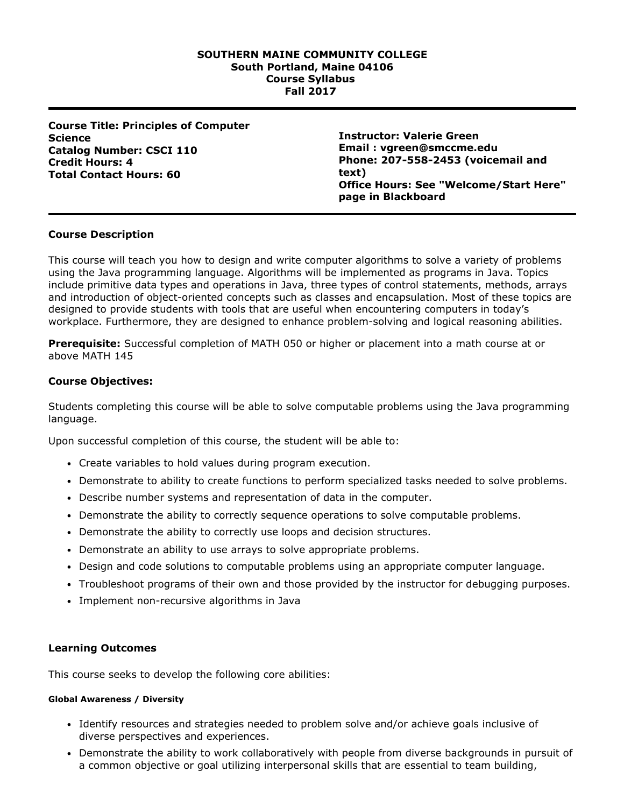## **SOUTHERN MAINE COMMUNITY COLLEGE South Portland, Maine 04106 Course Syllabus Fall 2017**

**Course Title: Principles of Computer Science Catalog Number: CSCI 110 Credit Hours: 4 Total Contact Hours: 60**

**Instructor: Valerie Green Email : vgreen@smccme.edu Phone: 2075582453 (voicemail and text) Office Hours: See "Welcome/Start Here" page in Blackboard**

# **Course Description**

This course will teach you how to design and write computer algorithms to solve a variety of problems using the Java programming language. Algorithms will be implemented as programs in Java. Topics include primitive data types and operations in Java, three types of control statements, methods, arrays and introduction of object-oriented concepts such as classes and encapsulation. Most of these topics are designed to provide students with tools that are useful when encountering computers in today's workplace. Furthermore, they are designed to enhance problem-solving and logical reasoning abilities.

**Prerequisite:** Successful completion of MATH 050 or higher or placement into a math course at or above MATH 145

# **Course Objectives:**

Students completing this course will be able to solve computable problems using the Java programming language.

Upon successful completion of this course, the student will be able to:

- Create variables to hold values during program execution.
- Demonstrate to ability to create functions to perform specialized tasks needed to solve problems.
- Describe number systems and representation of data in the computer.
- Demonstrate the ability to correctly sequence operations to solve computable problems.
- Demonstrate the ability to correctly use loops and decision structures.
- Demonstrate an ability to use arrays to solve appropriate problems.
- Design and code solutions to computable problems using an appropriate computer language.
- Troubleshoot programs of their own and those provided by the instructor for debugging purposes.
- Implement non-recursive algorithms in Java

## **Learning Outcomes**

This course seeks to develop the following core abilities:

## **Global Awareness / Diversity**

- Identify resources and strategies needed to problem solve and/or achieve goals inclusive of diverse perspectives and experiences.
- Demonstrate the ability to work collaboratively with people from diverse backgrounds in pursuit of a common objective or goal utilizing interpersonal skills that are essential to team building,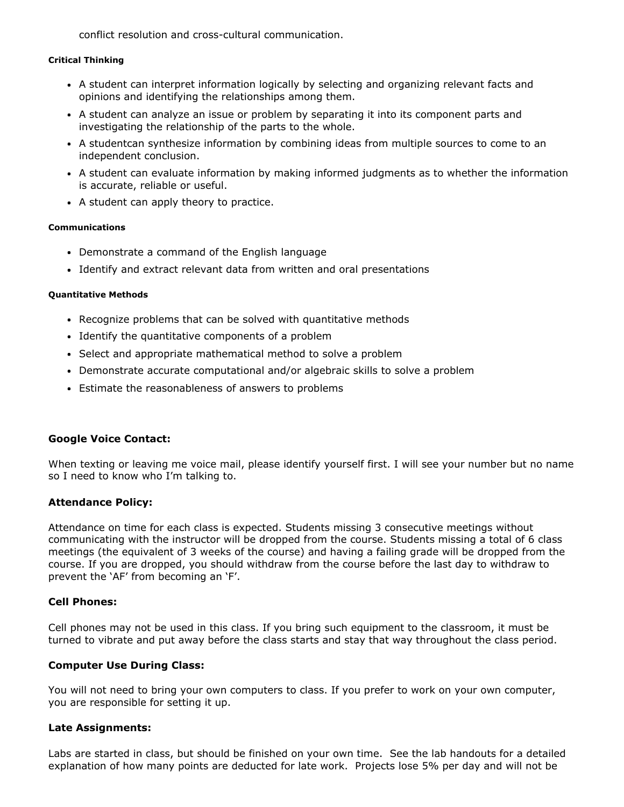conflict resolution and cross-cultural communication.

#### **Critical Thinking**

- A student can interpret information logically by selecting and organizing relevant facts and opinions and identifying the relationships among them.
- A student can analyze an issue or problem by separating it into its component parts and investigating the relationship of the parts to the whole.
- A studentcan synthesize information by combining ideas from multiple sources to come to an independent conclusion.
- A student can evaluate information by making informed judgments as to whether the information is accurate, reliable or useful.
- A student can apply theory to practice.

#### **Communications**

- Demonstrate a command of the English language
- Identify and extract relevant data from written and oral presentations

#### **Quantitative Methods**

- Recognize problems that can be solved with quantitative methods
- Identify the quantitative components of a problem
- Select and appropriate mathematical method to solve a problem
- Demonstrate accurate computational and/or algebraic skills to solve a problem
- Estimate the reasonableness of answers to problems

## **Google Voice Contact:**

When texting or leaving me voice mail, please identify yourself first. I will see your number but no name so I need to know who I'm talking to.

# **Attendance Policy:**

Attendance on time for each class is expected. Students missing 3 consecutive meetings without communicating with the instructor will be dropped from the course. Students missing a total of 6 class meetings (the equivalent of 3 weeks of the course) and having a failing grade will be dropped from the course. If you are dropped, you should withdraw from the course before the last day to withdraw to prevent the 'AF' from becoming an 'F'.

## **Cell Phones:**

Cell phones may not be used in this class. If you bring such equipment to the classroom, it must be turned to vibrate and put away before the class starts and stay that way throughout the class period.

## **Computer Use During Class:**

You will not need to bring your own computers to class. If you prefer to work on your own computer, you are responsible for setting it up.

## **Late Assignments:**

Labs are started in class, but should be finished on your own time. See the lab handouts for a detailed explanation of how many points are deducted for late work. Projects lose 5% per day and will not be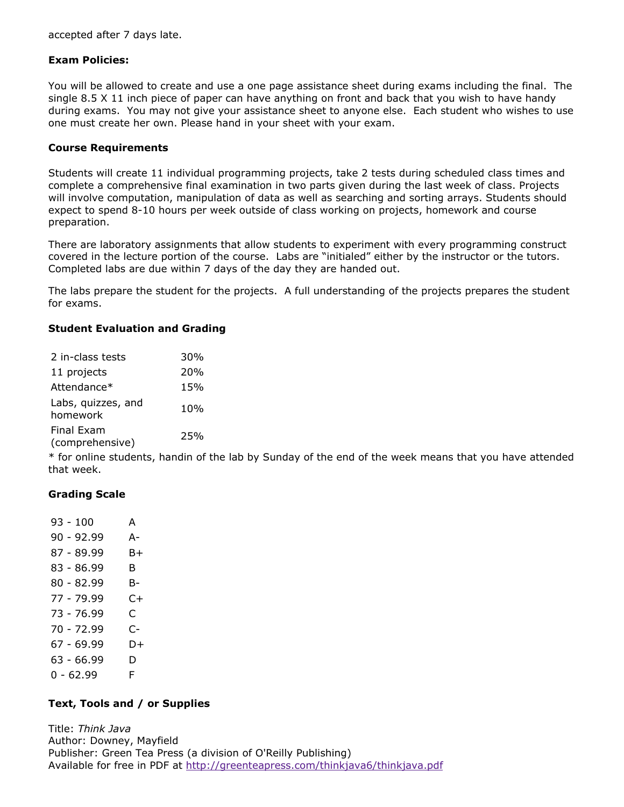accepted after 7 days late.

# **Exam Policies:**

You will be allowed to create and use a one page assistance sheet during exams including the final. The single 8.5 X 11 inch piece of paper can have anything on front and back that you wish to have handy during exams. You may not give your assistance sheet to anyone else. Each student who wishes to use one must create her own. Please hand in your sheet with your exam.

## **Course Requirements**

Students will create 11 individual programming projects, take 2 tests during scheduled class times and complete a comprehensive final examination in two parts given during the last week of class. Projects will involve computation, manipulation of data as well as searching and sorting arrays. Students should expect to spend 810 hours per week outside of class working on projects, homework and course preparation.

There are laboratory assignments that allow students to experiment with every programming construct covered in the lecture portion of the course. Labs are "initialed" either by the instructor or the tutors. Completed labs are due within 7 days of the day they are handed out.

The labs prepare the student for the projects. A full understanding of the projects prepares the student for exams.

# **Student Evaluation and Grading**

| 2 in-class tests               | 30% |
|--------------------------------|-----|
| 11 projects                    | 20% |
| Attendance*                    | 15% |
| Labs, quizzes, and<br>homework | 10% |
| Final Exam<br>(comprehensive)  | 25% |

\* for online students, handin of the lab by Sunday of the end of the week means that you have attended that week.

# **Grading Scale**

| 93 - 100     | А  |
|--------------|----|
| $90 - 92.99$ | А- |
| 87 - 89.99   | B+ |
| 83 - 86.99   | B. |
| 80 - 82.99   | B- |
| 77 - 79.99   | C+ |
| 73 - 76.99   | C  |
| 70 - 72.99   | C- |
| 67 - 69.99   | D+ |
| 63 - 66.99   | D  |
| $0 - 62.99$  | F  |

# **Text, Tools and / or Supplies**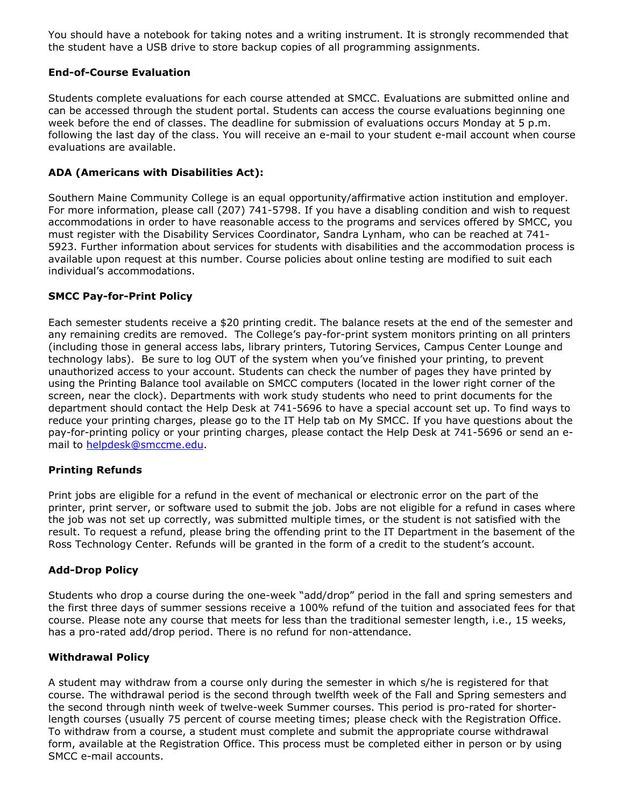You should have a notebook for taking notes and a writing instrument. It is strongly recommended that the student have a USB drive to store backup copies of all programming assignments.

# **End-of-Course Evaluation**

Students complete evaluations for each course attended at SMCC. Evaluations are submitted online and can be accessed through the student portal. Students can access the course evaluations beginning one week before the end of classes. The deadline for submission of evaluations occurs Monday at 5 p.m. following the last day of the class. You will receive an e-mail to your student e-mail account when course evaluations are available.

## **ADA (Americans with Disabilities Act):**

Southern Maine Community College is an equal opportunity/affirmative action institution and employer. For more information, please call (207) 741-5798. If you have a disabling condition and wish to request accommodations in order to have reasonable access to the programs and services offered by SMCC, you must register with the Disability Services Coordinator, Sandra Lynham, who can be reached at 741 5923. Further information about services for students with disabilities and the accommodation process is available upon request at this number. Course policies about online testing are modified to suit each individual's accommodations.

## **SMCC Pay-for-Print Policy**

Each semester students receive a \$20 printing credit. The balance resets at the end of the semester and any remaining credits are removed. The College's pay-for-print system monitors printing on all printers (including those in general access labs, library printers, Tutoring Services, Campus Center Lounge and technology labs). Be sure to log OUT of the system when you've finished your printing, to prevent unauthorized access to your account. Students can check the number of pages they have printed by using the Printing Balance tool available on SMCC computers (located in the lower right corner of the screen, near the clock). Departments with work study students who need to print documents for the department should contact the Help Desk at 741-5696 to have a special account set up. To find ways to reduce your printing charges, please go to the IT Help tab on My SMCC. If you have questions about the pay-for-printing policy or your printing charges, please contact the Help Desk at 741-5696 or send an email to [helpdesk@smccme.edu.](mailto:helpdesk@smccme.edu)

# **Printing Refunds**

Print jobs are eligible for a refund in the event of mechanical or electronic error on the part of the printer, print server, or software used to submit the job. Jobs are not eligible for a refund in cases where the job was not set up correctly, was submitted multiple times, or the student is not satisfied with the result. To request a refund, please bring the offending print to the IT Department in the basement of the Ross Technology Center. Refunds will be granted in the form of a credit to the student's account.

## **Add-Drop Policy**

Students who drop a course during the one-week "add/drop" period in the fall and spring semesters and the first three days of summer sessions receive a 100% refund of the tuition and associated fees for that course. Please note any course that meets for less than the traditional semester length, i.e., 15 weeks, has a pro-rated add/drop period. There is no refund for non-attendance.

## **Withdrawal Policy**

A student may withdraw from a course only during the semester in which s/he is registered for that course. The withdrawal period is the second through twelfth week of the Fall and Spring semesters and the second through ninth week of twelve-week Summer courses. This period is pro-rated for shorterlength courses (usually 75 percent of course meeting times; please check with the Registration Office. To withdraw from a course, a student must complete and submit the appropriate course withdrawal form, available at the Registration Office. This process must be completed either in person or by using SMCC e-mail accounts.